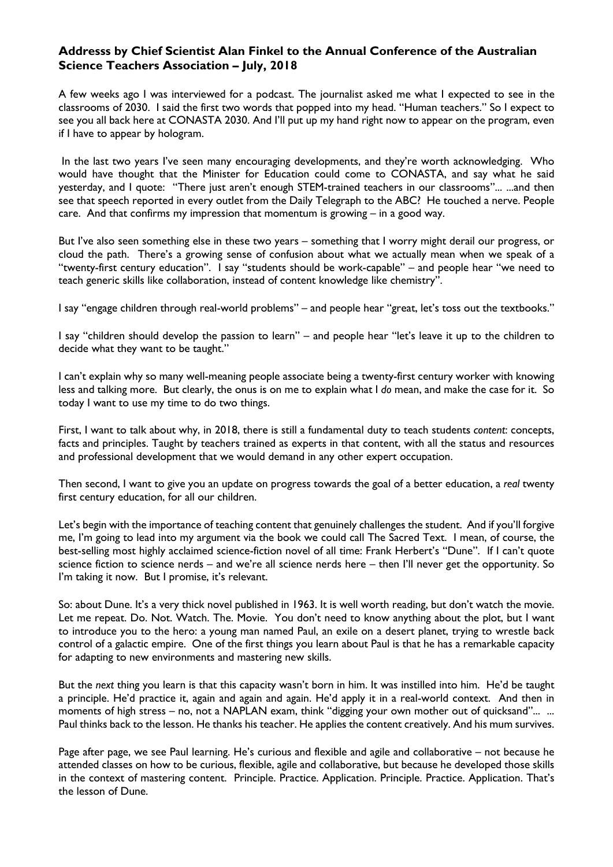## **Addresss by Chief Scientist Alan Finkel to the Annual Conference of the Australian Science Teachers Association – July, 2018**

A few weeks ago I was interviewed for a podcast. The journalist asked me what I expected to see in the classrooms of 2030. I said the first two words that popped into my head. "Human teachers." So I expect to see you all back here at CONASTA 2030. And I'll put up my hand right now to appear on the program, even if I have to appear by hologram.

In the last two years I've seen many encouraging developments, and they're worth acknowledging. Who would have thought that the Minister for Education could come to CONASTA, and say what he said yesterday, and I quote: "There just aren't enough STEM-trained teachers in our classrooms"... ...and then see that speech reported in every outlet from the Daily Telegraph to the ABC? He touched a nerve. People care. And that confirms my impression that momentum is growing  $-$  in a good way.

But I've also seen something else in these two years – something that I worry might derail our progress, or cloud the path. There's a growing sense of confusion about what we actually mean when we speak of a "twenty-first century education". I say "students should be work-capable" – and people hear "we need to teach generic skills like collaboration, instead of content knowledge like chemistry".

I say "engage children through real-world problems" – and people hear "great, let's toss out the textbooks."

I say "children should develop the passion to learn" – and people hear "let's leave it up to the children to decide what they want to be taught."

I can't explain why so many well-meaning people associate being a twenty-first century worker with knowing less and talking more. But clearly, the onus is on me to explain what I *do* mean, and make the case for it. So today I want to use my time to do two things.

First, I want to talk about why, in 2018, there is still a fundamental duty to teach students *content*: concepts, facts and principles. Taught by teachers trained as experts in that content, with all the status and resources and professional development that we would demand in any other expert occupation.

Then second, I want to give you an update on progress towards the goal of a better education, a *real* twenty first century education, for all our children.

Let's begin with the importance of teaching content that genuinely challenges the student. And if you'll forgive me, I'm going to lead into my argument via the book we could call The Sacred Text. I mean, of course, the best-selling most highly acclaimed science-fiction novel of all time: Frank Herbert's "Dune". If I can't quote science fiction to science nerds – and we're all science nerds here – then I'll never get the opportunity. So I'm taking it now. But I promise, it's relevant.

So: about Dune. It's a very thick novel published in 1963. It is well worth reading, but don't watch the movie. Let me repeat. Do. Not. Watch. The. Movie. You don't need to know anything about the plot, but I want to introduce you to the hero: a young man named Paul, an exile on a desert planet, trying to wrestle back control of a galactic empire. One of the first things you learn about Paul is that he has a remarkable capacity for adapting to new environments and mastering new skills.

But the *next* thing you learn is that this capacity wasn't born in him. It was instilled into him. He'd be taught a principle. He'd practice it, again and again and again. He'd apply it in a real-world context. And then in moments of high stress - no, not a NAPLAN exam, think "digging your own mother out of quicksand"... ... Paul thinks back to the lesson. He thanks his teacher. He applies the content creatively. And his mum survives.

Page after page, we see Paul learning. He's curious and flexible and agile and collaborative – not because he attended classes on how to be curious, flexible, agile and collaborative, but because he developed those skills in the context of mastering content. Principle. Practice. Application. Principle. Practice. Application. That's the lesson of Dune.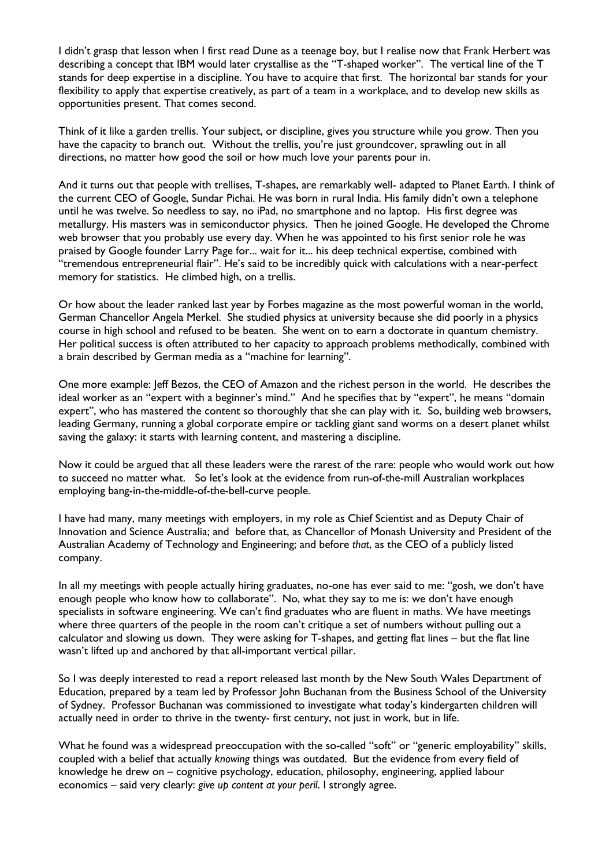I didn't grasp that lesson when I first read Dune as a teenage boy, but I realise now that Frank Herbert was describing a concept that IBM would later crystallise as the "T-shaped worker". The vertical line of the T stands for deep expertise in a discipline. You have to acquire that first. The horizontal bar stands for your flexibility to apply that expertise creatively, as part of a team in a workplace, and to develop new skills as opportunities present. That comes second.

Think of it like a garden trellis. Your subject, or discipline, gives you structure while you grow. Then you have the capacity to branch out. Without the trellis, you're just groundcover, sprawling out in all directions, no matter how good the soil or how much love your parents pour in.

And it turns out that people with trellises, T-shapes, are remarkably well- adapted to Planet Earth. I think of the current CEO of Google, Sundar Pichai. He was born in rural India. His family didn't own a telephone until he was twelve. So needless to say, no iPad, no smartphone and no laptop. His first degree was metallurgy. His masters was in semiconductor physics. Then he joined Google. He developed the Chrome web browser that you probably use every day. When he was appointed to his first senior role he was praised by Google founder Larry Page for... wait for it... his deep technical expertise, combined with "tremendous entrepreneurial flair". He's said to be incredibly quick with calculations with a near-perfect memory for statistics. He climbed high, on a trellis.

Or how about the leader ranked last year by Forbes magazine as the most powerful woman in the world, German Chancellor Angela Merkel. She studied physics at university because she did poorly in a physics course in high school and refused to be beaten. She went on to earn a doctorate in quantum chemistry. Her political success is often attributed to her capacity to approach problems methodically, combined with a brain described by German media as a "machine for learning".

One more example: Jeff Bezos, the CEO of Amazon and the richest person in the world. He describes the ideal worker as an "expert with a beginner's mind." And he specifies that by "expert", he means "domain expert", who has mastered the content so thoroughly that she can play with it. So, building web browsers, leading Germany, running a global corporate empire or tackling giant sand worms on a desert planet whilst saving the galaxy: it starts with learning content, and mastering a discipline.

Now it could be argued that all these leaders were the rarest of the rare: people who would work out how to succeed no matter what. So let's look at the evidence from run-of-the-mill Australian workplaces employing bang-in-the-middle-of-the-bell-curve people.

I have had many, many meetings with employers, in my role as Chief Scientist and as Deputy Chair of Innovation and Science Australia; and before that, as Chancellor of Monash University and President of the Australian Academy of Technology and Engineering; and before *that*, as the CEO of a publicly listed company.

In all my meetings with people actually hiring graduates, no-one has ever said to me: "gosh, we don't have enough people who know how to collaborate". No, what they say to me is: we don't have enough specialists in software engineering. We can't find graduates who are fluent in maths. We have meetings where three quarters of the people in the room can't critique a set of numbers without pulling out a calculator and slowing us down. They were asking for T-shapes, and getting flat lines – but the flat line wasn't lifted up and anchored by that all-important vertical pillar.

So I was deeply interested to read a report released last month by the New South Wales Department of Education, prepared by a team led by Professor John Buchanan from the Business School of the University of Sydney. Professor Buchanan was commissioned to investigate what today's kindergarten children will actually need in order to thrive in the twenty- first century, not just in work, but in life.

What he found was a widespread preoccupation with the so-called "soft" or "generic employability" skills, coupled with a belief that actually *knowing* things was outdated. But the evidence from every field of knowledge he drew on – cognitive psychology, education, philosophy, engineering, applied labour economics – said very clearly: *give up content at your peril*. I strongly agree.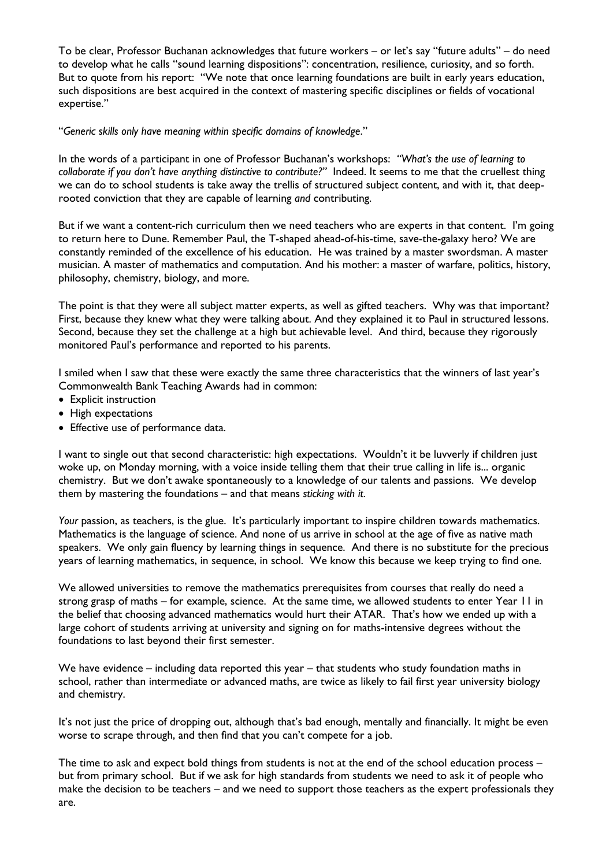To be clear, Professor Buchanan acknowledges that future workers – or let's say "future adults" – do need to develop what he calls "sound learning dispositions": concentration, resilience, curiosity, and so forth. But to quote from his report: "We note that once learning foundations are built in early years education, such dispositions are best acquired in the context of mastering specific disciplines or fields of vocational expertise."

## "*Generic skills only have meaning within specific domains of knowledge*."

In the words of a participant in one of Professor Buchanan's workshops: *"What's the use of learning to collaborate if you don't have anything distinctive to contribute?"* Indeed. It seems to me that the cruellest thing we can do to school students is take away the trellis of structured subject content, and with it, that deeprooted conviction that they are capable of learning *and* contributing.

But if we want a content-rich curriculum then we need teachers who are experts in that content. I'm going to return here to Dune. Remember Paul, the T-shaped ahead-of-his-time, save-the-galaxy hero? We are constantly reminded of the excellence of his education. He was trained by a master swordsman. A master musician. A master of mathematics and computation. And his mother: a master of warfare, politics, history, philosophy, chemistry, biology, and more.

The point is that they were all subject matter experts, as well as gifted teachers. Why was that important? First, because they knew what they were talking about. And they explained it to Paul in structured lessons. Second, because they set the challenge at a high but achievable level. And third, because they rigorously monitored Paul's performance and reported to his parents.

I smiled when I saw that these were exactly the same three characteristics that the winners of last year's Commonwealth Bank Teaching Awards had in common:

- Explicit instruction
- High expectations
- Effective use of performance data.

I want to single out that second characteristic: high expectations. Wouldn't it be luvverly if children just woke up, on Monday morning, with a voice inside telling them that their true calling in life is... organic chemistry. But we don't awake spontaneously to a knowledge of our talents and passions. We develop them by mastering the foundations – and that means *sticking with it*.

Your passion, as teachers, is the glue. It's particularly important to inspire children towards mathematics. Mathematics is the language of science. And none of us arrive in school at the age of five as native math speakers. We only gain fluency by learning things in sequence. And there is no substitute for the precious years of learning mathematics, in sequence, in school. We know this because we keep trying to find one.

We allowed universities to remove the mathematics prerequisites from courses that really do need a strong grasp of maths – for example, science. At the same time, we allowed students to enter Year 11 in the belief that choosing advanced mathematics would hurt their ATAR. That's how we ended up with a large cohort of students arriving at university and signing on for maths-intensive degrees without the foundations to last beyond their first semester.

We have evidence – including data reported this year – that students who study foundation maths in school, rather than intermediate or advanced maths, are twice as likely to fail first year university biology and chemistry.

It's not just the price of dropping out, although that's bad enough, mentally and financially. It might be even worse to scrape through, and then find that you can't compete for a job.

The time to ask and expect bold things from students is not at the end of the school education process – but from primary school. But if we ask for high standards from students we need to ask it of people who make the decision to be teachers – and we need to support those teachers as the expert professionals they are.